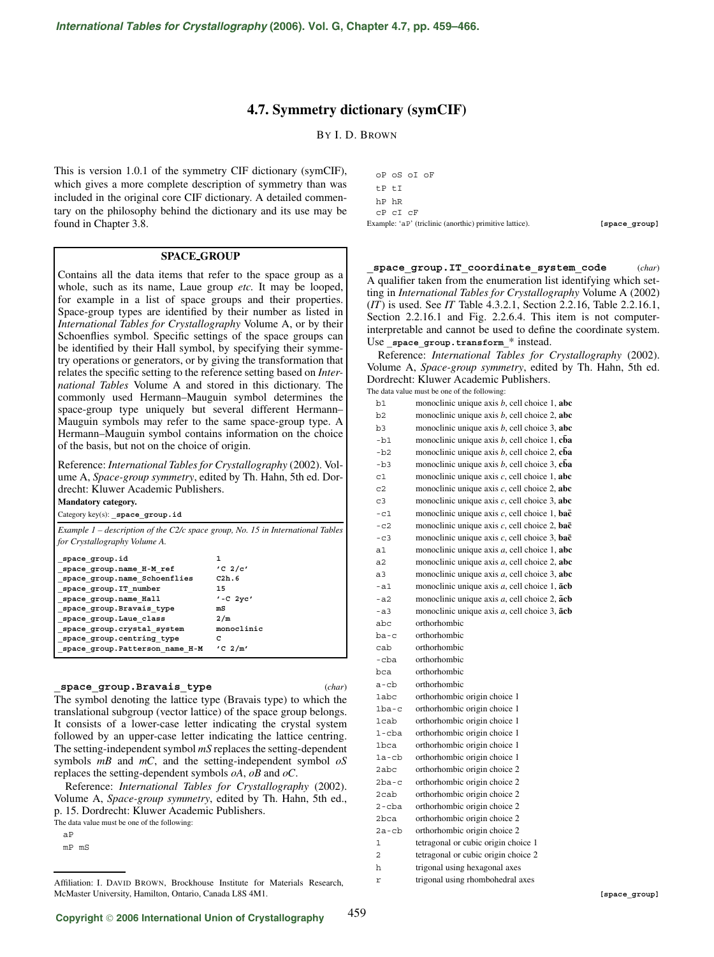# **4.7. Symmetry dictionary (symCIF)**

BY I. D. BROWN

This is version 1.0.1 of the symmetry CIF dictionary (symCIF), which gives a more complete description of symmetry than was included in the original core CIF dictionary. A detailed commentary on the philosophy behind the dictionary and its use may be found in Chapter 3.8.

# **SPACE GROUP**

Contains all the data items that refer to the space group as a whole, such as its name, Laue group *etc.* It may be looped, for example in a list of space groups and their properties. Space-group types are identified by their number as listed in *International Tables for Crystallography* Volume A, or by their Schoenflies symbol. Specific settings of the space groups can be identified by their Hall symbol, by specifying their symmetry operations or generators, or by giving the transformation that relates the specific setting to the reference setting based on *International Tables* Volume A and stored in this dictionary. The commonly used Hermann–Mauguin symbol determines the space-group type uniquely but several different Hermann– Mauguin symbols may refer to the same space-group type. A Hermann–Mauguin symbol contains information on the choice of the basis, but not on the choice of origin.

Reference: *International Tables for Crystallography* (2002). Volume A, *Space-group symmetry*, edited by Th. Hahn, 5th ed. Dordrecht: Kluwer Academic Publishers. **Mandatory category.**

Category key(s): **\_space\_group.id**

*Example 1 – description of the C2/c space group, No. 15 in International Tables for Crystallography Volume A.*

| space_group.id_                | 1                             |
|--------------------------------|-------------------------------|
| _space_group.name_H-M_ref      | $^{\prime}$ C 2/c $^{\prime}$ |
| _space_group.name_Schoenflies  | C2h.6                         |
| _space_group.IT_number         | 15                            |
| _space_group.name_Hall         | $'$ -C $2yc'$                 |
| _space_group.Bravais_type      | mS                            |
| _space_group.Laue_class        | 2/m                           |
| space group.crystal system     | monoclinic                    |
| space group.centring type      | c                             |
| space group.Patterson name H-M | $'C \t2/m'$                   |
|                                |                               |

## **\_space\_group.Bravais\_type** (*char*)

459

The symbol denoting the lattice type (Bravais type) to which the translational subgroup (vector lattice) of the space group belongs. It consists of a lower-case letter indicating the crystal system followed by an upper-case letter indicating the lattice centring. The setting-independent symbol *mS* replaces the setting-dependent symbols *mB* and *mC*, and the setting-independent symbol *oS* replaces the setting-dependent symbols *oA*, *oB* and *oC*.

Reference: *International Tables for Crystallography* (2002). Volume A, *Space-group symmetry*, edited by Th. Hahn, 5th ed., p. 15. Dordrecht: Kluwer Academic Publishers.

The data value must be one of the following:

| Example: 'aP' (triclinic (anorthic) primitive lattice). | [space group] |
|---------------------------------------------------------|---------------|
| CP CI CF                                                |               |
| hP hR                                                   |               |
| tP tI                                                   |               |
| oP oS oI oF                                             |               |

**\_space\_group.IT\_coordinate\_system\_code** (*char*) A qualifier taken from the enumeration list identifying which setting in *International Tables for Crystallography* Volume A (2002) (*IT*) is used. See *IT* Table 4.3.2.1, Section 2.2.16, Table 2.2.16.1, Section 2.2.16.1 and Fig. 2.2.6.4. This item is not computerinterpretable and cannot be used to define the coordinate system. Use space group.transform \* instead.

Reference: *International Tables for Crystallography* (2002). Volume A, *Space-group symmetry*, edited by Th. Hahn, 5th ed. Dordrecht: Kluwer Academic Publishers. The data value must be one of the following:

| b1             | monoclinic unique axis $b$ , cell choice 1, abc               |
|----------------|---------------------------------------------------------------|
| h2             | monoclinic unique axis $b$ , cell choice 2, abc               |
| b3             | monoclinic unique axis $b$ , cell choice 3, abc               |
| $-b1$          | monoclinic unique axis $b$ , cell choice 1, cba               |
| $-b2$          | monoclinic unique axis $b$ , cell choice 2, cba               |
| $-b3$          | monoclinic unique axis $b$ , cell choice 3, cba               |
| C <sub>1</sub> | monoclinic unique axis $c$ , cell choice 1, abc               |
| C <sub>2</sub> | monoclinic unique axis $c$ , cell choice 2, abc               |
| C <sub>3</sub> | monoclinic unique axis $c$ , cell choice 3, abc               |
| $-c1$          | monoclinic unique axis c, cell choice 1, bac                  |
| $-c2$          | monoclinic unique axis $c$ , cell choice 2, bac               |
| $-c3$          | monoclinic unique axis $c$ , cell choice 3, bac               |
| a1             | monoclinic unique axis a, cell choice 1, abc                  |
| a2             | monoclinic unique axis $a$ , cell choice 2, abc               |
| a <sub>3</sub> | monoclinic unique axis a, cell choice 3, abc                  |
| -a1            | monoclinic unique axis a, cell choice 1, acb                  |
| $- a2$         | monoclinic unique axis $a$ , cell choice 2, $\bar{a}$ cb      |
| $- a 3$        | monoclinic unique axis $a$ , cell choice 3, $\overline{a}$ cb |
| abc            | orthorhombic                                                  |
| ba-c           | orthorhombic                                                  |
| cab            | orthorhombic                                                  |
| -cba           | orthorhombic                                                  |
| bca            | orthorhombic                                                  |
| a-cb           | orthorhombic                                                  |
| 1abc           | orthorhombic origin choice 1                                  |
| $1ba-c$        | orthorhombic origin choice 1                                  |
| 1cab           | orthorhombic origin choice 1                                  |
| $1$ -cba       | orthorhombic origin choice 1                                  |
| <b>1bca</b>    | orthorhombic origin choice 1                                  |
| $1a$ -c $b$    | orthorhombic origin choice 1                                  |
| 2abc           | orthorhombic origin choice 2                                  |
| $2ba-c$        | orthorhombic origin choice 2                                  |
| 2cab           | orthorhombic origin choice 2                                  |
| $2$ -cba       | orthorhombic origin choice 2                                  |
| 2bca           | orthorhombic origin choice 2                                  |
| $2a$ -cb       | orthorhombic origin choice 2                                  |
| 1              | tetragonal or cubic origin choice 1                           |
| 2              | tetragonal or cubic origin choice 2                           |
| h              | trigonal using hexagonal axes                                 |
| r              | trigonal using rhombohedral axes                              |

aP mP mS

Affiliation: I. DAVID BROWN, Brockhouse Institute for Materials Research, McMaster University, Hamilton, Ontario, Canada L8S 4M1.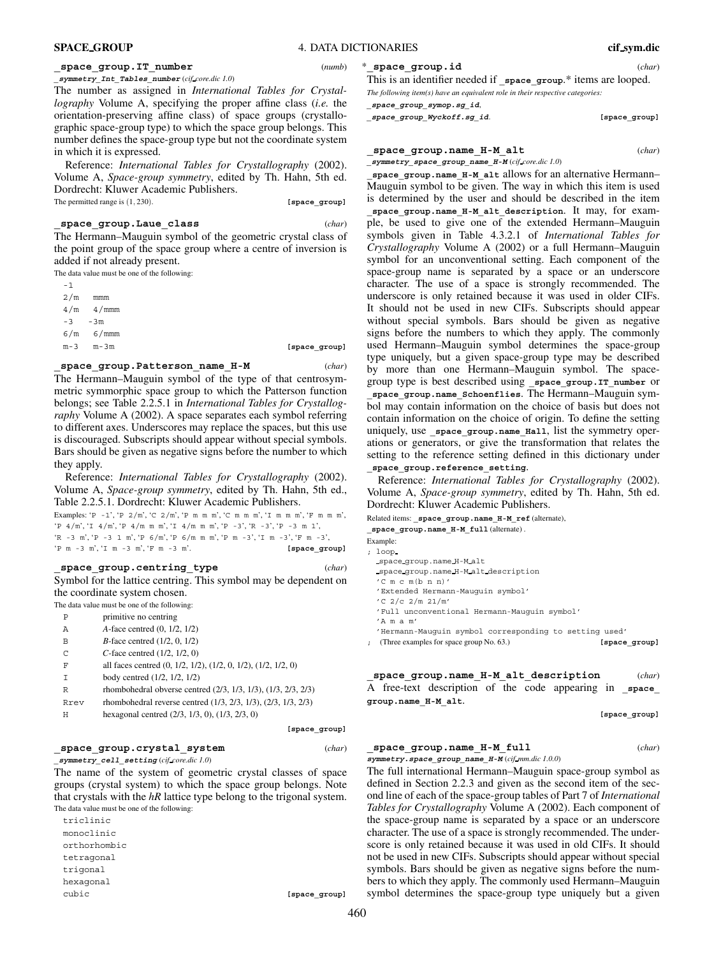# **\_space\_group.IT\_number** (*numb*)

**\_symmetry\_Int\_Tables\_number** (*cif core.dic 1.0*) The number as assigned in *International Tables for Crystallography* Volume A, specifying the proper affine class (*i.e.* the orientation-preserving affine class) of space groups (crystallographic space-group type) to which the space group belongs. This number defines the space-group type but not the coordinate system in which it is expressed.

Reference: *International Tables for Crystallography* (2002). Volume A, *Space-group symmetry*, edited by Th. Hahn, 5th ed. Dordrecht: Kluwer Academic Publishers. The permitted range is  $(1, 230)$ . **[space\_group]** 

# **\_space\_group.Laue\_class** (*char*)

The Hermann–Mauguin symbol of the geometric crystal class of the point group of the space group where a centre of inversion is added if not already present.

The data value must be one of the following:

| $-1$ |       |  |
|------|-------|--|
| 2/m  | mmm   |  |
| 4/m  | 4/mmm |  |
| $-3$ | –3m   |  |
| 6/m  | 6/mmm |  |
| m つ  | m วm  |  |

m-3 m-3m **[space group]** 

# **\_space\_group.Patterson\_name\_H-M** (*char*)

The Hermann–Mauguin symbol of the type of that centrosymmetric symmorphic space group to which the Patterson function belongs; see Table 2.2.5.1 in *International Tables for Crystallography* Volume A (2002). A space separates each symbol referring to different axes. Underscores may replace the spaces, but this use is discouraged. Subscripts should appear without special symbols. Bars should be given as negative signs before the number to which they apply.

Reference: *International Tables for Crystallography* (2002). Volume A, *Space-group symmetry*, edited by Th. Hahn, 5th ed., Table 2.2.5.1. Dordrecht: Kluwer Academic Publishers.

Examples: 'P -1', 'P  $2/m'$ , 'C  $2/m'$ , 'P m m m', 'C m m m', 'I m m m', 'F m m m', 'P 4/m', 'I 4/m', 'P 4/m m m', 'I 4/m m m', 'P -3', 'R -3', 'P -3 m 1', 'R -3 m', 'P -3 1 m', 'P 6/m', 'P 6/m m m', 'P m -3', 'I m -3', 'F m -3', 'P m -3 m', 'I m -3 m', 'F m -3 m'. **[space\_group]**

#### **\_space\_group.centring\_type** (*char*)

**[space\_group]**

Symbol for the lattice centring. This symbol may be dependent on the coordinate system chosen.

The data value must be one of the following: primitive no centring

| А | A-face centred (0, 1/2, 1/2)      |
|---|-----------------------------------|
| R | $B$ -face centred $(1/2, 0, 1/2)$ |
|   |                                   |

- C *C*-face centred (1/2, 1/2, 0)
- F all faces centred (0, 1/2, 1/2), (1/2, 0, 1/2), (1/2, 1/2, 0)
- I body centred (1/2, 1/2, 1/2)
- R rhombohedral obverse centred (2/3, 1/3, 1/3), (1/3, 2/3, 2/3)
- Rrev rhombohedral reverse centred (1/3, 2/3, 1/3), (2/3, 1/3, 2/3)
- H hexagonal centred (2/3, 1/3, 0), (1/3, 2/3, 0)

# **\_space\_group.crystal\_system** (*char*)

**\_symmetry\_cell\_setting** (*cif core.dic 1.0*)

The name of the system of geometric crystal classes of space groups (crystal system) to which the space group belongs. Note that crystals with the *hR* lattice type belong to the trigonal system. The data value must be one of the following:

triclinic monoclinic orthorhombic tetragonal trigonal hexagonal cubic **[space\_group]**

## \***\_space\_group.id** (*char*)

This is an identifier needed if **\_space\_group**.\* items are looped. *The following item(s) have an equivalent role in their respective categories:*

**\_space\_group\_symop.sg\_id**,

**\_space\_group\_Wyckoff.sg\_id**. **[space\_group]**

**\_space\_group.name\_H-M\_alt** (*char*)

**\_symmetry\_space\_group\_name\_H-M** (*cif core.dic 1.0*)

**\_space\_group.name\_H-M\_alt** allows for an alternative Hermann– Mauguin symbol to be given. The way in which this item is used is determined by the user and should be described in the item **\_space\_group.name\_H-M\_alt\_description**. It may, for example, be used to give one of the extended Hermann–Mauguin symbols given in Table 4.3.2.1 of *International Tables for Crystallography* Volume A (2002) or a full Hermann–Mauguin symbol for an unconventional setting. Each component of the space-group name is separated by a space or an underscore character. The use of a space is strongly recommended. The underscore is only retained because it was used in older CIFs. It should not be used in new CIFs. Subscripts should appear without special symbols. Bars should be given as negative signs before the numbers to which they apply. The commonly used Hermann–Mauguin symbol determines the space-group type uniquely, but a given space-group type may be described by more than one Hermann–Mauguin symbol. The spacegroup type is best described using **\_space\_group.IT\_number** or **\_space\_group.name\_Schoenflies**. The Hermann–Mauguin symbol may contain information on the choice of basis but does not contain information on the choice of origin. To define the setting uniquely, use space group.name Hall, list the symmetry operations or generators, or give the transformation that relates the setting to the reference setting defined in this dictionary under

**\_space\_group.reference\_setting**.

Reference: *International Tables for Crystallography* (2002). Volume A, *Space-group symmetry*, edited by Th. Hahn, 5th ed. Dordrecht: Kluwer Academic Publishers.

Related items: **\_space\_group.name\_H-M\_ref** (alternate),

**\_space\_group.name\_H-M\_full** (alternate) .

Example:

; loop

- space group.name H-M alt space group.name H-M alt description
- 'C m c m(b n n)'
- 'Extended Hermann-Mauguin symbol'
- 'C 2/c 2/m 21/m'
- 'Full unconventional Hermann-Mauguin symbol'
- 'A m a m'
- 'Hermann-Mauguin symbol corresponding to setting used'
- ; (Three examples for space group No. 63.) **[space\_group]**

**\_space\_group.name\_H-M\_alt\_description** (*char*) A free-text description of the code appearing in **\_space\_ group.name\_H-M\_alt**.

**[space\_group]**

#### **\_space\_group.name\_H-M\_full** (*char*)

**symmetry.space\_group\_name\_H-M** (*cif mm.dic 1.0.0*)

The full international Hermann–Mauguin space-group symbol as defined in Section 2.2.3 and given as the second item of the second line of each of the space-group tables of Part 7 of *International Tables for Crystallography* Volume A (2002). Each component of the space-group name is separated by a space or an underscore character. The use of a space is strongly recommended. The underscore is only retained because it was used in old CIFs. It should not be used in new CIFs. Subscripts should appear without special symbols. Bars should be given as negative signs before the numbers to which they apply. The commonly used Hermann–Mauguin symbol determines the space-group type uniquely but a given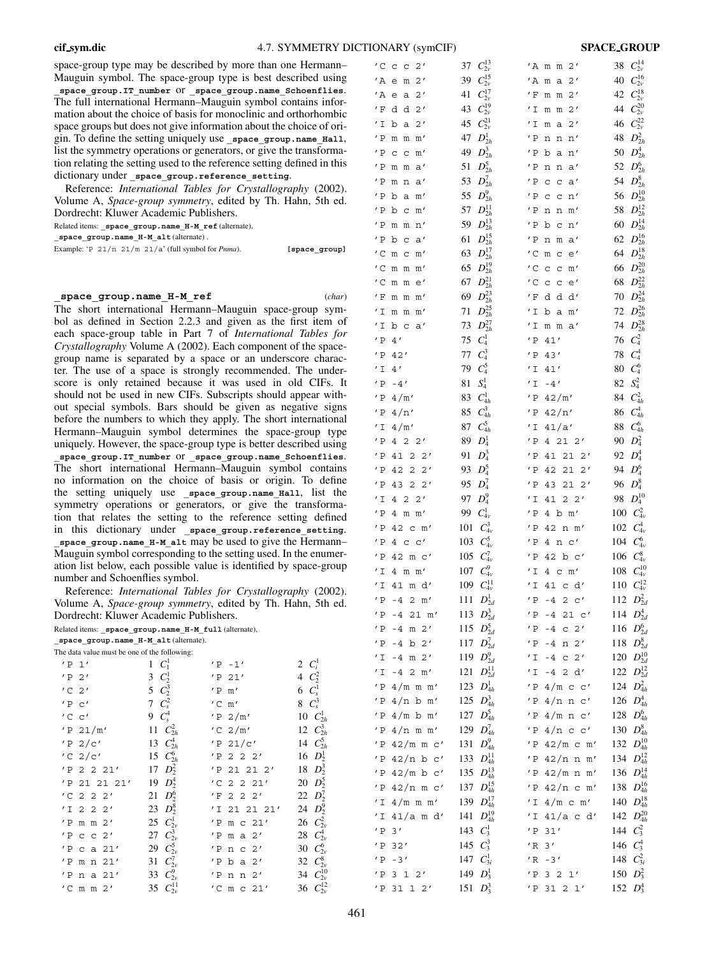space-group type may be described by more than one Hermann– Mauguin symbol. The space-group type is best described using **\_space\_group.IT\_number** or **\_space\_group.name\_Schoenflies**. The full international Hermann–Mauguin symbol contains information about the choice of basis for monoclinic and orthorhombic space groups but does not give information about the choice of origin. To define the setting uniquely use space group.name Hall, list the symmetry operations or generators, or give the transformation relating the setting used to the reference setting defined in this dictionary under space group.reference setting.

Reference: *International Tables for Crystallography* (2002). Volume A, *Space-group symmetry*, edited by Th. Hahn, 5th ed. Dordrecht: Kluwer Academic Publishers. Related items: **\_space\_group.name\_H-M\_ref** (alternate),

**\_space\_group.name\_H-M\_alt** (alternate) .

Example: 'P 21/n 21/m 21/a' (full symbol for *Pnma*). **[space\_group**]

# **\_space\_group.name\_H-M\_ref** (*char*)

The short international Hermann–Mauguin space-group symbol as defined in Section 2.2.3 and given as the first item of each space-group table in Part 7 of *International Tables for Crystallography* Volume A (2002). Each component of the spacegroup name is separated by a space or an underscore character. The use of a space is strongly recommended. The underscore is only retained because it was used in old CIFs. It should not be used in new CIFs. Subscripts should appear without special symbols. Bars should be given as negative signs before the numbers to which they apply. The short international Hermann–Mauguin symbol determines the space-group type uniquely. However, the space-group type is better described using **\_space\_group.IT\_number** or **\_space\_group.name\_Schoenflies**. The short international Hermann–Mauguin symbol contains no information on the choice of basis or origin. To define the setting uniquely use **\_space\_group.name\_Hall**, list the symmetry operations or generators, or give the transformation that relates the setting to the reference setting defined in this dictionary under **\_space\_group.reference\_setting**. **\_space\_group.name\_H-M\_alt** may be used to give the Hermann– Mauguin symbol corresponding to the setting used. In the enumeration list below, each possible value is identified by space-group number and Schoenflies symbol.

Reference: *International Tables for Crystallography* (2002). Volume A, *Space-group symmetry*, edited by Th. Hahn, 5th ed.

|                                                         |                         | Reference: International Tables for Crystallography (20 |                          |
|---------------------------------------------------------|-------------------------|---------------------------------------------------------|--------------------------|
| Volume A, Space-group symmetry, edited by Th. Hahn, 5th |                         |                                                         |                          |
| Dordrecht: Kluwer Academic Publishers.                  |                         |                                                         |                          |
| Related items: space group.name H-M full (alternate),   |                         |                                                         |                          |
| space group.name H-M alt (alternate).                   |                         |                                                         |                          |
| The data value must be one of the following:            |                         |                                                         |                          |
| $'P_1'$                                                 | $C_1^1$<br>$\mathbf{1}$ | $'P - 1'$                                               | 2 $C_i^1$                |
| 'P2'                                                    | $C_2^1$<br>3            | $'P$ 21'                                                | 4 $C_2^2$                |
| $^{\prime}$ C $\,$ 2 $^{\prime}$                        | 5 $C_2^3$               | $'P$ m'                                                 | 6 $C_s^1$                |
| 'P C'                                                   | 7 $C_s^2$               | $'C$ m'                                                 | $8\ \text{C}_\text{s}^3$ |
| $'C$ $C'$                                               | 9 $C_s^4$               | 'P2/m'                                                  | 10 $C_{2h}^1$            |
| $'P$ 21/m'                                              | 11 $C_{2h}^2$           | $'C$ 2/m'                                               | 12 $C_{2h}^3$            |
| $'P$ 2/c'                                               | 13 $C_{2h}^4$           | 'P 21/c'                                                | 14 $C_{2h}^5$            |
| $'C$ 2/c'                                               | 15 $C_{2h}^6$           | $'P$ 2 2 2'                                             | 16 $D_2^1$               |
| 'P 2 2 21'                                              | 17 $D_2^2$              | 'P 21 21 2'                                             | 18 $D_2^3$               |
| 'P 21 21 21'                                            | 19 $D_2^4$              | $'C$ 2 2 21'                                            | $20\;\;D_2^5$            |
| $2\ 2\ 2'$<br>$^{\prime}$ C                             | $D_2^6$<br>21           | $'F$ 2 2 2'                                             | 22 $D_2^7$               |
| $'$ I<br>$2 \t2 \t2'$                                   | 23 $D_2^8$              | 'I 21 21 21'                                            | 24 $D_2^9$               |
| 'P<br>m m 2'                                            | 25 $C_{2v}^1$           | 'P<br>m c 21'                                           | 26 $C_{2v}^2$            |
| $^{\prime}$ P<br>c c 2'                                 | 27 $C_{2v}^3$           | 'P<br>m a $2'$                                          | $C_{2v}^4$<br>28         |
| c a $21'$<br>'P                                         | 29 $C_{2v}^5$           | n c 2'<br>$'$ P                                         | $C_{2v}^6$<br>30         |
| 'P m n 21'                                              | 31 $C_{2v}^7$           | 'P b a 2'                                               | 32 $C_{2v}^8$            |
| $'P$ na 21'                                             | 33 $C_{2v}^9$           | 'P<br>n n 2'                                            | 34 $C_{2v}^{10}$         |
| $'C$ m m $2'$                                           | 35 $C_{2v}^{11}$        | $'C$ m c $21'$                                          | 36 $C_{2v}^{12}$         |
|                                                         |                         |                                                         |                          |
|                                                         |                         |                                                         |                          |
|                                                         |                         |                                                         |                          |

| $'C$ c c      | 2'                                                     | $C_{2\nu}^{13}$<br>37  | 'A m m<br>$2^{\prime}$                             | 38      | $C^{14}_{2\nu}$   |
|---------------|--------------------------------------------------------|------------------------|----------------------------------------------------|---------|-------------------|
| $^\prime$ A   | 2'<br>e<br>m                                           | $C_{2v}^{15}$<br>39    | $^\prime$ A<br>2'<br>m<br>a                        | 40      | $C^{16}_{2\nu}$   |
| $^{\prime}$ A | 2'<br>e<br>а                                           | $C_{2v}^{17}$<br>41    | $^\prime$ F<br>2'<br>m m                           | 42      | $C_{2\nu}^{18}$   |
| ' F           | d<br>d<br>2'                                           | $C_{2\nu}^{19}$<br>43  | ′ I<br>2'<br>m<br>m                                | 44      | $C^{20}_{2\nu}$   |
| $^\prime$ I   | 2'<br>b<br>a                                           | $C^{21}_{2\nu}$<br>45  | $^\prime$ I<br>2'<br>m<br>a                        | 46      | $C^{22}_{2\nu}$   |
| $'$ P         | m'<br>m<br>m                                           | $D_{2h}^1$<br>47       | $^\prime$ P<br>n'<br>n<br>n                        | 48      | $D_{2h}^2$        |
| $^{\prime}$ P | m'<br>C<br>$\mathsf{C}$                                | $D_{2h}^3$<br>49       | $'$ P<br>b<br>n'<br>a                              | 50      | $D_{2h}^4$        |
| $'$ P         | a'<br>m<br>m                                           | $D_{2h}^5$<br>51       | $^\prime$ P<br>n<br>a'<br>n                        | 52      | $D_{2h}^6$        |
| $'$ P         | a'<br>m<br>n                                           | $D_{2h}^7$<br>53       | $^\prime$ P<br>C<br>C<br>a'                        | 54      | $D_{2h}^8$        |
| $^\prime$ P   | b<br>a<br>m'                                           | $D_{2h}^9$<br>55       | $^\prime$ P<br>C<br>$\mathsf C$<br>n'              | 56      | $D^{10}_{2h}$     |
| $'$ P         | b<br>m'<br>$\mathsf C$                                 | $D_{2h}^{11}$<br>57    | $^\prime$ P<br>n<br>m'<br>n                        | 58      | $D^{12}_{2h}$     |
| $^\prime$ P   | n'<br>m<br>m                                           | $D^{13}_{2h}$<br>59    | $^{\prime}$ P<br>b<br>$\mathbf C$<br>n'            | 60      | $D^{14}_{2h}$     |
| $^\prime$ P   | b<br>a'<br>$\mathsf C$                                 | $D_{2h}^{15}$<br>61    | $^{\prime}$ P<br>n<br>a'<br>m                      | 62      | $D^{16}_{2h}$     |
| $^{\prime}$ C | m<br>$\mathsf{C}$<br>m'                                | $D^{17}_{2h}$<br>63    | $^\prime$ C<br>e'<br>m<br>$\mathbf C$              | 64      | $D^{18}_{2h}$     |
| $^{\prime}$ C | $m$ $m$ $m'$                                           | $D^{19}_{2h}$<br>65    | $^{\prime}$ C<br>$\mathsf{C}$<br>C<br>m'           | 66      | $D^{20}_{2h}$     |
| $^{\prime}$ C | m<br>m<br>e'                                           | $D^{21}_{2h}$<br>67    | $'$ C<br>$\mathbf C$<br>$\rm _C$<br>e'             | 68      | $D^{22}_{2h}$     |
| $^\prime$ F   | m'<br>m                                                | $D_{2h}^{23}$<br>69    | $^\prime$ F<br>d d<br>d'                           | 70      | $D^{24}_{2h}$     |
| $^\prime$ I   | $\mathfrak m$                                          | $D_{2h}^{25}$<br>71    | $^\prime$ I<br>b a                                 | 72      | $D^{26}_{2h}$     |
| $^\prime$ I   | m'<br>m m                                              | $D^{27}_{2h}$          | m'                                                 | 74      | $D^{28}_{2h}$     |
|               | b c<br>a'<br>4'                                        | 73<br>$C_4^1$          | $^\prime$ I<br>$m$ $m$<br>a'<br>$^\prime$ P<br>41' | 76      | $C_4^2$           |
| $^{\prime}$ P |                                                        | 75<br>$C_4^3$          |                                                    |         |                   |
| $^\prime$ P   | 42'                                                    | 77                     | $^\prime$ P<br>43'                                 | 78      | $C_4^4$           |
| $^\prime$ I   | 4'                                                     | $C_4^5$<br>79          | $^{\prime}$ I<br>$41'$                             | 80      | $C_4^6$           |
| $^\prime$ P   | $-4'$                                                  | $S_4^1$<br>81          | $^\prime$ I<br>$\sim$ 4 $^{\prime}$                | 82      | $S_4^2$           |
| $^{\prime}$ P | 4/m'                                                   | $C_{4h}^1$<br>83       | $^\prime$ P<br>42/m'                               | 84      | $C_{4h}^2$        |
| $^\prime$ P   | 4/n'                                                   | $C_{4h}^3$<br>85       | $^\prime$ P<br>42/n'                               | 86      | $C_{4h}^4$        |
| ' I           | 4/m'                                                   | $C_{4h}^5$<br>87       | 41/a'<br>′ I                                       | 88      | $C_{4h}^6$        |
| $^\prime$ P   | 422'                                                   | $D_4^1$<br>89          | $'$ P<br>4212'                                     | 90      | $D_4^2$           |
| $'$ P         | 41<br>$\overline{2}$<br>2'                             | $D_4^3$<br>91          | $'$ P<br>41<br>212'                                | 92      | $D_4^4$           |
| $^{\prime}$ P | $\overline{2}$<br>2'<br>42                             | $D_4^5$<br>93          | $'$ P<br>42<br>21<br>2'                            | 94      | $D_4^6$           |
| $^{\prime}$ P | 43 2<br>2'                                             | $D_4^7$<br>95          | $^\prime$ P<br>21<br>43<br>2'                      | 96      | $D_4^8$           |
| $^\prime$ I   | 2'<br>$\overline{4}$<br>$\overline{2}$                 | $D_4^9$<br>97          | 22'<br>$^\prime$ I<br>41                           | 98      | $D_4^{10}$        |
| $^{\prime}$ P | 4<br>$m \, m'$                                         | $C_{4\nu}^1$<br>99     | $^\prime$ P<br>4 $b$ m'                            |         | 100 $C_{4\nu}^2$  |
| $^{\prime}$ P | 42<br>$\mathbf{C}$<br>m'                               | $C_{4\nu}^3$<br>101    | $^\prime$ P<br>42 n<br>m'                          | 102     | $C_{4\nu}^4$      |
| $^\prime$ P   | $4$ c c'                                               | $C_{4v}^5$<br>103      | $^\prime$ P<br>4<br>n c'                           | 104     | $C_{4\nu}^6$      |
|               | $^\prime$ P 42 m c $^\prime$                           | 105<br>$C_{4v}^7$      | 'P<br>42 b $c'$                                    | 106     | $C_{4v}^8$        |
| $^\prime$ I   | $4 \text{ m m}$                                        | $C_{4v}^9$<br>107      | $^\prime$ I<br>4 c m'                              | 108     | $C^{10}_{4\nu}$   |
| $^\prime$ I   | 41 m d'                                                | $C^{11}_{4\nu}$<br>109 | $^\prime$ I<br>41 c d'                             |         | 110 $C_{4v}^{12}$ |
| $'$ P         | $-4$ 2 m'                                              | 111 $D_{2d}^1$         | $'P - 4$<br>$2 \text{ } c'$                        |         | 112 $D_{2d}^2$    |
| $^\prime$ P   | $-4$ 21 m'                                             | $D_{2d}^3$<br>113      | $^\prime$ P<br>21 c'<br>$-4$                       |         | 114 $D_{2d}^4$    |
| $^\prime$ P   | $-4$ m $2'$                                            | $D_{2d}^5$<br>115      | $^\prime$ P<br>$c$ 2'<br>$-4$                      |         | 116 $D_{2d}^6$    |
| $^\prime$ P   | $-4$<br>$b$ 2'                                         | $D_{2d}^7$<br>117      | $^\prime$ P<br>$-4$ n 2'                           | 118     | $D_{2d}^8$        |
| $^\prime$ I   | $-4$ m $2'$                                            | $D_{2d}^9$<br>119      | $^\prime$ I<br>$-4$ c 2'                           | 120     | $D_{2d}^{10}$     |
| $^\prime$ I   | $-4$ 2 m'                                              | $D^{11}_{2d}$<br>121   | $'I -4 2 d'$                                       |         | 122 $D_{2d}^{12}$ |
| $^\prime$ P   | $4/m$ m m'                                             | $D_{4h}^1$<br>123      | $'P$ 4/m c c'                                      |         | 124 $D_{4h}^2$    |
| $^\prime$ P   | $4/n$ b m'                                             | $D_{4h}^3$<br>125      | $'P$ 4/n n c'                                      |         | 126 $D_{4h}^4$    |
|               | $^\prime$ P $\,4\,/\mathrm{m}$ b $\mathrm{m}^{\prime}$ | $D_{4h}^5$<br>127      | $'P$ 4/m n c'                                      | 128     | $D_{4h}^6$        |
|               | $'P$ 4/n m m'                                          | $D_{4h}^7$<br>129      | $^\prime$ P<br>$4/n$ c c'                          | 130     | $D_{4h}^8$        |
| $^\prime$ P   | $42/m$ m c'                                            | $D_{4h}^9$<br>131      | $'P$ 42/m c m'                                     | 132     | $D^{10}_{4h}\,$   |
|               | $'P$ 42/n b c'                                         | $D^{11}_{4h}$<br>133   | $'P$ 42/n n m'                                     |         | 134 $D_{4h}^{12}$ |
|               | $'P$ 42/m b c'                                         | $D_{4h}^{13}$<br>135   | $'P$ 42/m n m'                                     |         | 136 $D_{4h}^{14}$ |
|               | $'P$ 42/n m c'                                         | $D^{15}_{4h}$<br>137   | $'P$ 42/n c m'                                     | 138     | $D^{16}_{4h}$     |
|               | $'I$ 4/m m m'                                          | $D^{17}_{4h}$<br>139   | $^\prime$ I<br>$4/m$ c m'                          | 140     | $D_{4h}^{18}$     |
| $^\prime$ I   | $41/a$ m d'                                            | $D^{19}_{4h}$<br>141   | $^\prime$ I<br>$41/a$ c d'                         | $142\,$ | $D^{20}_{4h}$     |
| $^\prime$ P   | 3'                                                     | $C_3^1$<br>143         | $^\prime$ P<br>31'                                 | 144     | $C_3^2$           |
| $^\prime$ P   | 32'                                                    | $C_3^3$<br>145         | $^{\prime}$ R $\,$ 3 $^{\prime}$                   | 146     | $C_3^4$           |
| $^\prime$ P   | $-3'$                                                  | 147 $C_{3i}^1$         | $'R - 3'$                                          |         | 148 $C_{3i}^2$    |
|               | $'P$ 3 1 2'                                            | 149 $D_3^1$            | $'P$ 3 2 1'                                        |         | 150 $D_3^2$       |
|               | $'P$ 31 1 2'                                           | 151 $D_3^3$            | $'P$ 31 2 1'                                       |         | 152 $D_3^4$       |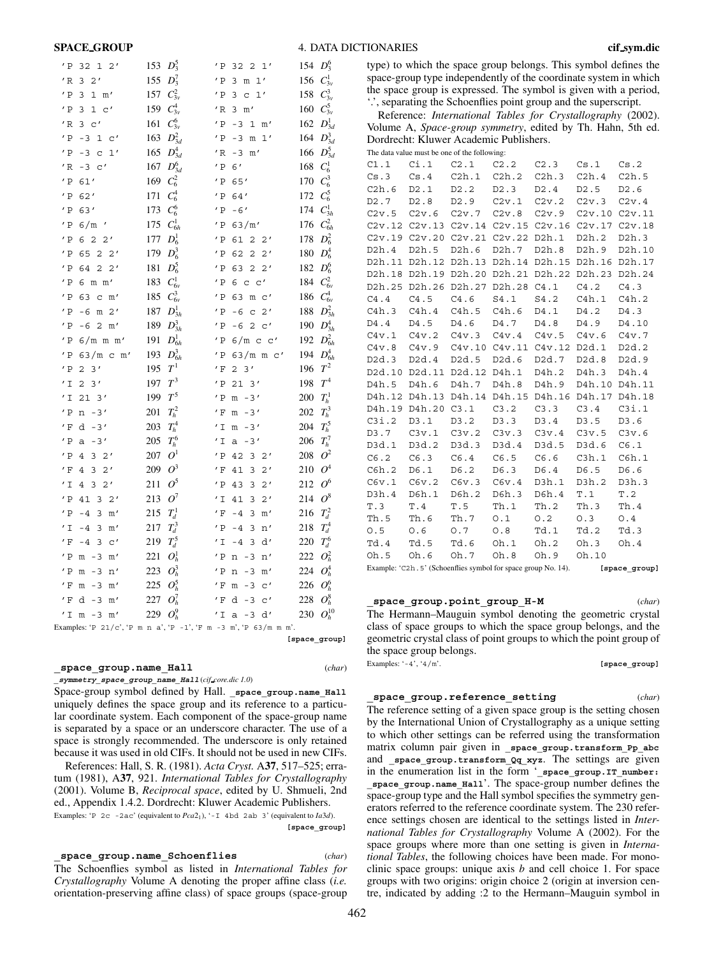#### **SPACE GROUP**

| 4. DATA DICTIONARIES |  |
|----------------------|--|
|----------------------|--|

| type) to which the space group belongs. This symbol defines the  |
|------------------------------------------------------------------|
| space-group type independently of the coordinate system in which |
| the space group is expressed. The symbol is given with a period, |
| ", separating the Schoenflies point group and the superscript."  |

Reference: International Tables for Crystallography (2002). Volume A, Space-group symmetry, edited by Th. Hahn, 5th ed. Dordrecht: Kluwer Academic Publishers. The data value must be one of the follow

|       |                 | The data value must be one of the following.                   |             |                   |                     |               |
|-------|-----------------|----------------------------------------------------------------|-------------|-------------------|---------------------|---------------|
| C1.1  |                 | $Ci.1$ $C2.1$ $C2.2$ $C2.3$ $Cs.1$ $Cs.2$                      |             |                   |                     |               |
| Cs.3  |                 | Cs.4 C2h.1 C2h.2 C2h.3 C2h.4 C2h.5                             |             |                   |                     |               |
| C2h.6 | D2.1            | D2.2 D2.3                                                      |             | D2.4              | D2.5                | D2.6          |
| D2.7  | D2.8            |                                                                |             | D2.9 C2v.1 C2v.2  | C2v.3               | C2v.4         |
|       |                 | C2v.5 C2v.6 C2v.7 C2v.8 C2v.9                                  |             |                   |                     | C2v.10 C2v.11 |
|       |                 | C2v.12 C2v.13 C2v.14 C2v.15 C2v.16 C2v.17 C2v.18               |             |                   |                     |               |
|       |                 | C2v.19 C2v.20 C2v.21 C2v.22 D2h.1                              |             |                   | D2h.2               | D2h.3         |
| D2h.4 | D2h.5           |                                                                | D2h.6 D2h.7 | D2h.8             | D2h.9               | D2h.10        |
|       |                 | D2h.11 D2h.12 D2h.13 D2h.14 D2h.15 D2h.16 D2h.17               |             |                   |                     |               |
|       |                 | D2h.18 D2h.19 D2h.20 D2h.21 D2h.22 D2h.23 D2h.24               |             |                   |                     |               |
|       |                 | D2h.25 D2h.26 D2h.27 D2h.28 C4.1 C4.2 C4.3                     |             |                   |                     |               |
| C4.4  |                 | $C4.5$ $C4.6$                                                  | S4.1        |                   | S4.2 C4h.1 C4h.2    |               |
| C4h.3 |                 | C4h.4 C4h.5 C4h.6                                              |             | D4.1              | D4.2                | D4.3          |
| D4.4  | D4.5            |                                                                | D4.6 D4.7   | D4.8              | D4.9                | D4.10         |
|       |                 | C4v.1 C4v.2 C4v.3 C4v.4 C4v.5 C4v.6 C4v.7                      |             |                   |                     |               |
|       |                 | C4v.8 C4v.9 C4v.10 C4v.11 C4v.12 D2d.1                         |             |                   |                     | D2d.2         |
| D2d.3 | D2d.4           |                                                                |             | D2d.5 D2d.6 D2d.7 | D2d.8               | D2d.9         |
|       |                 | D2d.10 D2d.11 D2d.12 D4h.1 D4h.2                               |             |                   | D4h.3 D4h.4         |               |
| D4h.5 | D4h.6           |                                                                | D4h.7 D4h.8 |                   | D4h.9 D4h.10 D4h.11 |               |
|       |                 | D4h.12 D4h.13 D4h.14 D4h.15 D4h.16 D4h.17 D4h.18               |             |                   |                     |               |
|       |                 | D4h.19 D4h.20 C3.1 C3.2 C3.3                                   |             |                   | $C3.4$ $C31.1$      |               |
| C3i.2 | D3.1            | D3.2 D3.3                                                      |             | D3.4              | D3.5                | D3.6          |
| D3.7  |                 | C3v.1 C3v.2 C3v.3 C3v.4 C3v.5 C3v.6                            |             |                   |                     |               |
| D3d.1 | D3d.2           | D3d.3                                                          | D3d.4       | D3d.5             | D3d.6               | C6.1          |
| C6.2  | C6.3            | C6.4                                                           | C6.5        | C6.6              | C3h.1               | C6h.1         |
| C6h.2 | D6.1            | D6.2                                                           | D6.3        | D6.4              | D6.5                | D6.6          |
| C6v.1 | $C6v.2$ $C6v.3$ |                                                                | C6v.4       | D3h.1             | D3h.2               | D3h.3         |
| D3h.4 | D6h.1           | D6h.2                                                          | D6h.3       | D6h.4             | T.1                 | T.2           |
| T.3   | T.4             | T.5                                                            | Th.1        | Th.2              | Th.3                | Th.4          |
| Th.5  | Th.6            | Th.7 0.1                                                       |             | 0.2               | 0.3                 | 0.4           |
| 0.5   | 0.6             | $0.7 \t 0.8$                                                   |             | Td.1              | Td.2                | Td.3          |
| Td.4  | Td.5            | Td.6 Oh.1                                                      |             | Oh.2              | Oh.3                | Oh.4          |
| Oh.5  | Oh.6            |                                                                |             | Oh.7 Oh.8 Oh.9    | Oh.10               |               |
|       |                 | Example: 'C2h. 5' (Schoenflies symbol for space group No. 14). |             |                   |                     | [space group] |

space group.point group H-M  $(char)$ 

The Hermann–Mauguin symbol denoting the geometric crystal class of space groups to which the space group belongs, and the geometric crystal class of point groups to which the point group of the space group belongs. Examples:  $-4$ ',  $4/m$ '. [space group]

#### space group.reference setting

 $(char)$ 

The reference setting of a given space group is the setting chosen by the International Union of Crystallography as a unique setting to which other settings can be referred using the transformation matrix column pair given in \_space\_group.transform\_Pp\_abc and space\_group.transform\_Qq\_xyz. The settings are given in the enumeration list in the form '\_space\_group.IT\_number: space group.name\_Hall'. The space-group number defines the space-group type and the Hall symbol specifies the symmetry generators referred to the reference coordinate system. The 230 reference settings chosen are identical to the settings listed in *Inter*national Tables for Crystallography Volume A (2002). For the space groups where more than one setting is given in Interna*tional Tables*, the following choices have been made. For monoclinic space groups: unique axis  $b$  and cell choice 1. For space groups with two origins: origin choice 2 (origin at inversion centre, indicated by adding :2 to the Hermann-Mauguin symbol in

| $'$ P<br>$32$ 1 2'                                               | 153 | $D_3^5$        | $^\prime$ P   | $32$ 2 1'                                       | 154 | $D_3^6$    |
|------------------------------------------------------------------|-----|----------------|---------------|-------------------------------------------------|-----|------------|
| 2'<br>$'$ R<br>3                                                 | 155 | $D_3^7$        | $^\prime$ P   | $3 \text{ m } 1'$                               | 156 | $C_{3v}^1$ |
| $^\prime$ P<br>3<br>$1 \text{ m}$                                | 157 | $C_{3v}^2$     | $^\prime$ P   | 3<br>$1\,{}'$<br>$\mathsf{C}$                   | 158 | $C_{3v}^3$ |
| $^\prime$ P<br>3<br>1<br>$\rm{c}^{\,\prime}$                     | 159 | $C_{3v}^4$     | $'$ R         | 3<br>m'                                         | 160 | $C_{3v}^5$ |
| $^{\prime}$ R<br>3<br>$\mathsf{C}^{\,\prime}$                    | 161 | $C_{3v}^6$     | $^\prime$ P   | $-3$<br>$1 \text{ m}$                           | 162 | $D_{3d}^1$ |
| $'$ P<br>-3<br>1 <sup>°</sup>                                    | 163 | $D_{3d}^2$     | $^\prime$ P   | $-3$<br>m <sub>1</sub>                          | 164 | $D_{3d}^3$ |
| $^\prime$ P<br>$-3$<br>1'<br>$\mathbf C$                         | 165 | $D_{3d}^4$     | $'$ R         | $-3$<br>m'                                      | 166 | $D_{3d}^5$ |
| $'$ R<br>-3<br>$\mathsf{C}^{\,\prime}$                           | 167 | $D_{3d}^6$     | $^\prime$ P   | 6'                                              | 168 | $C_6^1$    |
| $^\prime$ P<br>61'                                               | 169 | $C_6^2$        | $^\prime$ P   | 65'                                             | 170 | $C_6^3$    |
| $^\prime$ P<br>62'                                               | 171 | $C_6^4$        | $^\prime$ P   | 64'                                             | 172 | $C_6^5$    |
| $^\prime$ P<br>63'                                               | 173 | $C_6^6$        | $^\prime$ P   | $-6'$                                           | 174 | $C_{3h}^1$ |
| $^\prime$ P<br>$6/m$ '                                           | 175 | $C_{6h}^1$     | $^\prime$ P   | 63/m'                                           | 176 | $C_{6h}^2$ |
| $^\prime$ P<br>622'                                              | 177 | $D_6^1$        | $^{\prime}$ P | 61<br>$2^{\prime}$                              | 178 | $D_6^2$    |
| $^\prime$ P<br>$65$ 2 2'                                         | 179 | $D_6^3$        | $^{\prime}$ P | 62<br>$\overline{2}$<br>2'                      | 180 | $D_6^4$    |
| $^\prime$ P<br>$\overline{2}$<br>64<br>2'                        | 181 | $D_6^5$        | $^{\prime}$ P | 63<br>$\overline{2}$<br>2'                      | 182 | $D_6^6$    |
| $^\prime$ P<br>$6 \text{ m m}$                                   | 183 | $C_{6v}^1$     | $^{\prime}$ P | 6 <sub>c</sub>                                  | 184 | $C_{6v}^2$ |
| $^\prime$ P<br>63<br>$c \mathsf{m}'$                             | 185 | $C_{6v}^3$     | $^\prime$ P   | 63<br>$m \, c'$                                 | 186 | $C_{6v}^4$ |
| $^\prime$ P<br>2'<br>-6<br>$\mathfrak m$                         | 187 | $D_{3h}^1$     | $^\prime$ P   | 2'<br>$-6$<br>$\mathtt{C}$                      | 188 | $D_{3h}^2$ |
| $^\prime$ P<br>$\overline{2}$<br>-6<br>m'                        | 189 | $D_{3h}^3$     | $^\prime$ P   | $\overline{2}$<br>-6<br>$\mathsf{C}^{\,\prime}$ | 190 | $D_{3h}^4$ |
| $^\prime$ P<br>$6/m$ m m'                                        | 191 | $D_{6h}^1$     | $^\prime$ P   | 6/m c c'                                        | 192 | $D_{6h}^2$ |
| $^\prime$ P<br>$63/m$ c m'                                       | 193 | $D_{6h}^3$     | $^\prime$ P   | $63/m$ m c'                                     | 194 | $D_{6h}^4$ |
| $^\prime$ P<br>$\overline{c}$<br>3'                              | 195 | $\,T^{\,1}\,$  | $^\prime$ F   | 3'<br>$\overline{2}$                            | 196 | $T^2$      |
| $^{\prime}$ I<br>2<br>3'                                         | 197 | $T^3$          | $'$ P         | 213'                                            | 198 | $T^4$      |
| $'$ I<br>213'                                                    | 199 | $\mathbb{T}^5$ | $^\prime$ P   | $m - 3'$                                        | 200 | $T_h^1$    |
| $^\prime$ P<br>$-3'$<br>n                                        | 201 | $T_h^2$        | $^\prime$ F   | $-3'$<br>m                                      | 202 | $T_h^3$    |
| $^\prime$ F<br>$-3'$<br>d                                        | 203 | $T_h^4$        | $^\prime$ I   | $-3'$<br>m                                      | 204 | $T_h^5$    |
| $^\prime$ P<br>$-3'$<br>$\mathsf{a}$                             | 205 | $T_h^6$        | $^\prime$ I   | $-3'$<br>a                                      | 206 | $T_h^7$    |
| $^\prime$ P<br>32'<br>4                                          | 207 | $O^1$          | $^\prime$ P   | 32'<br>42                                       | 208 | $O^2$      |
| $^\prime$ F<br>4<br>3<br>2'                                      | 209 | $O^3$          | $^\prime$ F   | 41<br>3<br>2'                                   | 210 | $O^4$      |
| $^\prime$ I<br>$\overline{3}$<br>2'<br>4                         | 211 | $O^5$          | $^{\prime}$ P | 43<br>3<br>2'                                   | 212 | $O^6$      |
| $^\prime$ P<br>41<br>3<br>2'                                     | 213 | $O^7$          | ' I           | 41<br>3<br>2'                                   | 214 | $O^8$      |
| $^\prime$ P<br>3<br>$-4$<br>m'                                   | 215 | $T_d^1$        | ' F           | 3<br>$-4$<br>m'                                 | 216 | $T_d^2$    |
| $^\prime$ I<br>$-4$<br>3<br>m'                                   | 217 | $T_d^3$        | $^\prime$ P   | $-4$<br>3<br>n'                                 | 218 | $T_d^4$    |
| $^\prime$ F<br>3<br>$-4$<br>$\rm c'$                             | 219 | $T_d^5$        | $^{\prime}$ I | 3<br>d'<br>$-4$                                 | 220 | $T_d^6$    |
| $^{\prime}$ P<br>$m - 3$<br>m'                                   | 221 | $O_h^1$        | $^\prime$ P   | $-3$<br>n'<br>n                                 | 222 | $O_h^2$    |
| $^\prime$ P<br>$-3$<br>n'<br>m                                   | 223 | $O_h^3$        | $^\prime$ P   | $-3$<br>m'<br>n                                 | 224 | $O_h^4$    |
| $^\prime$ F<br>$-3$<br>m'<br>m                                   | 225 | $O_h^5$        | $^\prime$ F   | $-3$<br>$\rm{c}$ $^{\prime}$<br>m               | 226 | $O_h^6$    |
| $^\prime$ F<br>$-3$<br>d<br>m'                                   | 227 | $O_h^7$        | $^\prime$ F   | $-3$<br>d<br>$\rm c$ '                          | 228 | $O_h^8$    |
| $^\prime$ I<br>$-3$<br>m<br>m'                                   | 229 | $O_h^9$        | $^\prime$ I   | $-3$<br>$\mathtt{d}$ '<br>a                     | 230 | $O_h^{10}$ |
| Examples: 'P 21/c', 'P m n a', 'P -1', 'F m -3 m', 'P 63/m m m'. |     |                |               |                                                 |     |            |

# space group.name Hall

 $(char)$ 

[space group]

symmetry\_space\_group\_name\_Hall(cif\_core.dic 1.0)

Space-group symbol defined by Hall. \_space\_group.name\_Hall uniquely defines the space group and its reference to a particular coordinate system. Each component of the space-group name is separated by a space or an underscore character. The use of a space is strongly recommended. The underscore is only retained because it was used in old CIFs. It should not be used in new CIFs.

References: Hall, S. R. (1981). Acta Cryst. A37, 517–525; erratum (1981), A37, 921. International Tables for Crystallography (2001). Volume B, Reciprocal space, edited by U. Shmueli, 2nd ed., Appendix 1.4.2. Dordrecht: Kluwer Academic Publishers. Examples: 'P 2c -2ac' (equivalent to  $Pca2_1$ ), '-I 4bd 2ab 3' (equivalent to  $Ia3d$ ).

[space\_group]

space\_group.name\_Schoenflies  $(char)$ The Schoenflies symbol as listed in International Tables for Crystallography Volume A denoting the proper affine class (i.e. orientation-preserving affine class) of space groups (space-group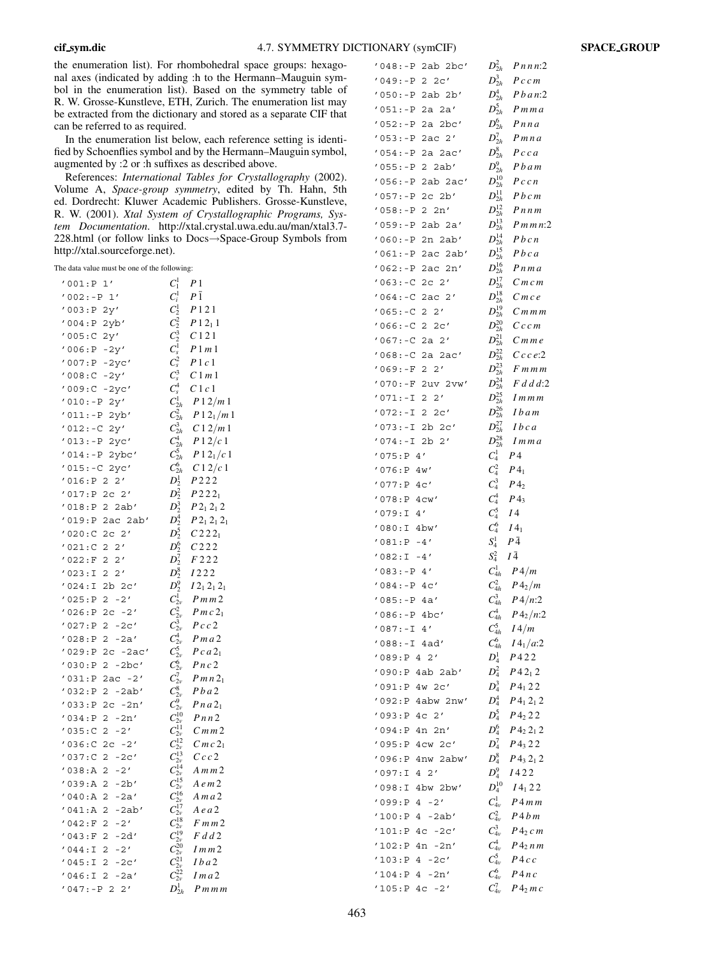the enumeration list). For rhombohedral space groups: hexagonal axes (indicated by adding :h to the Hermann-Mauguin symbol in the enumeration list). Based on the symmetry table of R. W. Grosse-Kunstleve, ETH, Zurich. The enumeration list may be extracted from the dictionary and stored as a separate CIF that can be referred to as required.

In the enumeration list below, each reference setting is identified by Schoenflies symbol and by the Hermann-Mauguin symbol, augmented by :2 or :h suffixes as described above.

References: International Tables for Crystallography (2002). Volume A, Space-group symmetry, edited by Th. Hahn, 5th ed. Dordrecht: Kluwer Academic Publishers. Grosse-Kunstleve, R. W. (2001). Xtal System of Crystallographic Programs, System Documentation. http://xtal.crystal.uwa.edu.au/man/xtal3.7-228.html (or follow links to Docs→Space-Group Symbols from http://xtal.sourceforge.net).

The data value must be one of the following:

| 1'<br>'001:P                                | $C_1^1$                          | P 1                 |
|---------------------------------------------|----------------------------------|---------------------|
| 1002:-P<br>1'                               | $C^1_i$                          | P 1                 |
| '003: P<br>2у′                              | $\emph{C}_2^1$                   | P121                |
| '004:P<br>2yb'                              | $C_2^2$                          | $P12_11$            |
| '005:C<br>2y'                               | $\mathcal{C}^3_2$                | C121                |
| '006:P<br>$-2y'$                            | $C^1_s$                          | P1m1                |
| $'007$ : P<br>$-2yc'$                       | $C_s^2$                          | P1c1                |
| $'008:C - 2y'$                              | $C_s^3$                          | C1m1                |
| '009:C -2yc'                                | $C_s^4$                          | C1c1                |
| $'010:-P$<br>2y'                            | $C_{2h}^1$                       | P12/m1              |
| $'011:-P$<br>2yb'                           | $C_{2h}^2$                       | $P_12_1/m_1$        |
| $'012:-C$<br>2y'                            | $C_{2h}^3$                       | C12/m1              |
| $'013:-P$<br>2yc'                           | $C_{2h}^4$                       | P12/c1              |
| $'014:-P$<br>2ybc'                          | $C_{2h}^5$                       | $P_12_1/c_1$        |
| '015:-C 2yc'                                | $C_{2h}^6$                       | C12/c1              |
| '016:P <sub>2</sub><br>$2^{\prime}$         | $D_2^1$                          | P222                |
| '017:P<br>$2c$ $2'$                         | $D_2^2$                          | $P$ 22 <sub>1</sub> |
| '018:P<br>$2$ $2ab'$                        | $D_2^3$                          | $P2_12_12$          |
| '019:P 2ac 2ab'                             | $D_2^4$                          | $P2_12_12_1$        |
| $'$ 020:C<br>$2^{\prime}$<br>2 <sub>c</sub> | $D_2^5$                          | $C222_1$            |
| 2'<br>'021:C<br>2                           | $D_2^6$                          | C222                |
| '022: F<br>2<br>2'                          | $D_2^7$                          | F222                |
| '023:I<br>2<br>$2^{\prime}$                 | $D_2^8$                          | $I\,2\,2\,2$        |
| '024:I<br>2b<br>2 <sub>c</sub>              | $D_2^9$                          | $I2_12_12_1$        |
| '025:P<br>2<br>$-2'$                        | $C_{2v}^1$                       | Pmm2                |
| '026: P<br>$2c - 2'$                        | $C_{2v}^2$                       | $Pmc2_1$            |
| '027:P<br>2<br>$-2c'$                       | $C_{2v}^3$                       | Pcc2                |
| '028:P<br>2<br>$-2a'$                       | $C_{2v}^4$                       | Pma2                |
| '029: P<br>$2c - 2ac'$                      | $C_{2v}^5$                       | $Pca2_1$            |
| '030:P<br>2<br>-2bc'                        | $C_{2v}^6$                       | Pnc2                |
| '031:P<br>$2ac -2'$                         | $C_{2v}^7$                       | Pm n 2 <sub>1</sub> |
| '032:P<br>2<br>$-2ab'$                      | $C_{2\nu}^8$                     | $Pb$ a2             |
| '033: P<br>$2c - 2n'$                       | $C_{2v}^9$                       | $P$ na $21$         |
| '034:P<br>2<br>$-2n'$                       | $C^{10}_{2\nu}$                  | Pnn2                |
| '035:C<br>2<br>$-2'$                        | $C_{2v}^{11}$                    | C <sub>m</sub> m 2  |
| '036:C<br>2 <sub>c</sub><br>-2′             | $C_{2\nu}^{12}$                  | $C$ m $c$ $21$      |
| '037:C<br>2<br>$-2c'$                       | $C_{2v}^{13}$                    | Ccc2                |
| ' 038:A<br>$2 - 2'$                         | $C_{2\nu}^{14}$<br>-15           | $A$ m m $2$         |
| '039:A<br>2<br>$-2b'$                       | $\mathcal{C}_{2v}$               | A e m 2             |
| $\overline{c}$<br>'040:A<br>$-2a'$          | $C_{2\nu}^{16}$                  | Ama2                |
| '041:A<br>$\overline{2}$<br>-2ab'           | $C_{2v}^{17}$                    | A e a 2             |
| '042: F<br>2<br>$-2'$                       | $C_{2\nu}^{18}$                  | $F$ m m $2$         |
| '043:F<br>2<br>-2d'                         | $C_{2\nu}^{19}$                  | F d d 2             |
| $'044:$ I<br>2<br>$-2'$<br>'045:1           | $C_{2v}^{20}$                    | 1 m m 2             |
| 2<br>$-2c'$<br>2                            | $C_{2v}^{21}$<br>$C^{22}_{2\nu}$ | <i>Iba</i> 2        |
| $'046:$ I<br>$-2a'$<br>$'047:-P 2 2'$       | $D_{2h}^1$                       | I m a 2<br>Pmmm     |
|                                             |                                  |                     |

| '048:-P 2ab 2bc'                           | $D_{2h}^2$<br>Pnnn:2                                             |
|--------------------------------------------|------------------------------------------------------------------|
| $'049:-P$<br>$2 \, 2c'$                    | $D_{2h}^3$<br>$Pcc$ m                                            |
| '050:-P 2ab 2b'                            | $D_{2h}^4$<br>$P \, b \, a \, n:2$                               |
| '051:-P<br>2a 2a'                          | $D_{2h}^5$ P m m a                                               |
| '052:-P 2a 2bc'                            | $D_{2h}^6$<br>$P$ nna                                            |
| '053:-P 2ac 2'                             | $D_{2h}^7$<br>$P$ mna                                            |
| '054:-P<br>2a 2ac'                         | $D_{2h}^8$<br>Pcca                                               |
| $'055: -P$<br>2 2ab'                       | $D_{2h}^9$<br>Pbam                                               |
| '056:-P 2ab 2ac'                           | $D^{10}_{2h}$<br>Pccn                                            |
| '057:-P 2c 2b'                             | $D^{11}_{2h}$<br>Pbcm                                            |
| '058:-P<br>2 2n'                           | $D^{12}_{2h}$<br>Pnnm                                            |
| '059:-P 2ab 2a'                            | $D^{13}_{2h}$<br>Pm m n:2                                        |
| '060:-P 2n 2ab'                            | $D^{14}_{2h}$<br>Pbcn                                            |
| '061:-P<br>2ac 2ab'                        | $D^{15}_{2h}$<br>Pbca                                            |
| '062:-P<br>2n'<br>2ac                      | $D^{16}_{2h}$<br>P n m a                                         |
| $'063:-C$<br>$2c$ $2'$                     | $D_{2h}^{17}$<br>Cmcm                                            |
| '064:-C<br>$2ac$ $2'$                      | $D^{18}_{2h}$<br>$C$ $mc$ $e$                                    |
| $'065:-C$<br>$2 \t2'$                      | $D_{2h}^{19}$<br>$Cm$ m m                                        |
| $'066:-C22c'$                              | $D^{20}_{2h}$<br>Cccm                                            |
| '067:-C<br>$2a \t2'$                       | $D^{21}_{2h}$<br>$C$ m m e                                       |
| '068:-C 2a 2ac'                            | $D^{22}_{2h}$<br>$C$ c e:2                                       |
| $'069:-F 2 2'$                             | $D^{23}_{2h}$<br>$F$ m m m                                       |
| ' 070 : -F<br>2uv 2vw'                     | $D^{24}_{2h}$<br>F d d d:2                                       |
| '071:-I<br>$2 \t2'$                        | $D^{25}_{2h}$<br>$1$ m m m                                       |
| '072:-I<br>$\mathbf{2}$<br>2c'             | $D^{26}_{2h}$<br>1 b a m                                         |
| '073:-I<br>$2b$ $2c'$                      | $D^{27}_{2h}$<br>Ibca                                            |
| $'074:-I$<br>2b<br>2'                      | $D^{28}_{2h}$<br>1 m m a                                         |
| '075:P4'                                   | $C_4^1$<br>Ρ4                                                    |
| '076:P 4w'                                 | $\,C_4^2$<br>$P_1$                                               |
| '077:P 4C'                                 | $C_4^3$ $P_42$                                                   |
| '078:P 4cw'                                | $C_4^4$<br>$P_3$                                                 |
| $'079:$ I<br>4'                            | $C_4^5$<br>14                                                    |
| $^{\prime}$ 080:I<br>4bw'                  | $C_4^6$<br>$I4_1$<br>$S^1_4$<br>PĀ                               |
| $'081:P -4'$<br>$^{\prime}$ 082:I<br>$-4'$ | $S_4^2$<br>IĀ                                                    |
| '083:-P 4′                                 | $C_{4h}^1$<br>$P\frac{4}{m}$                                     |
| $'084:-P 4C'$                              | $\emph{\emph{C}}_{4h}^{2}$<br>$P\left\langle 4_2/m\right\rangle$ |
| $'085:-P 4a'$                              | $C_{4h}^3$<br>$P\frac{4}{n:2}$                                   |
| $'086:-P 4bc'$                             | $C_{4h}^4$<br>$P\,4_2/n:2$                                       |
| $'087:-I$ 4'                               | $C_{4h}^5$<br>I4/m                                               |
| '088:-I 4ad'                               | $C_{4h}^6$<br>$I4_1/a:2$                                         |
| '089:P 4 2'                                | $D_4^1$<br>P422                                                  |
| '090:P 4ab 2ab'                            | $D_4^2$<br>$P_42_12$                                             |
| '091:P 4w 2c'                              | $D_4^3$<br>$P_1 22$                                              |
| '092:P 4abw 2nw'                           | $D_4^4$<br>$P_4$ 2 <sub>1</sub> 2                                |
| '093:P 4c 2 <i>'</i>                       | $D_4^5$<br>$P_{{}_{2}22$                                         |
| '094:P 4n 2n'                              | $D_4^6$<br>$P_{{}_{2\,2_12$                                      |
| '095:P 4cw 2c'                             | $D_4^7$<br>$P_3 22$                                              |
| 1096:P 4nw 2abw'                           | $D_4^8$<br>$P$ 43 21 2                                           |
| $4\quad2'$<br>1:097 <sup>/</sup>           | $D_4^9$<br>1422                                                  |
| 1:800'<br>4bw 2bw'                         | $D_4^{10}$<br>$I4_1 22$                                          |
| $'099$ :P 4 -2'                            | $C_{4v}^1$<br>P 4mm                                              |
| '100:P 4 -2ab'                             | $\mathcal{C}_{4v}^2$<br>$P4\,b\,m$                               |
| '101:P<br>$4c - 2c'$                       | $C_{4\nu}^3$<br>$P$ 42 $c$ m                                     |
| '102:P<br>4n -2n'                          | $C_{4v}^4$<br>$P_4$ <sub>2</sub> $n m$                           |
| '103:P<br>$4 - 2c'$                        | $C_{4v}^5$<br>P4 c c                                             |
| '104:P<br>4<br>-2n'                        | $C_{4v}^6$<br>P4nc                                               |
| '105: P<br>$4c - 2'$                       | $C_{4v}^7$<br>$P_2n$                                             |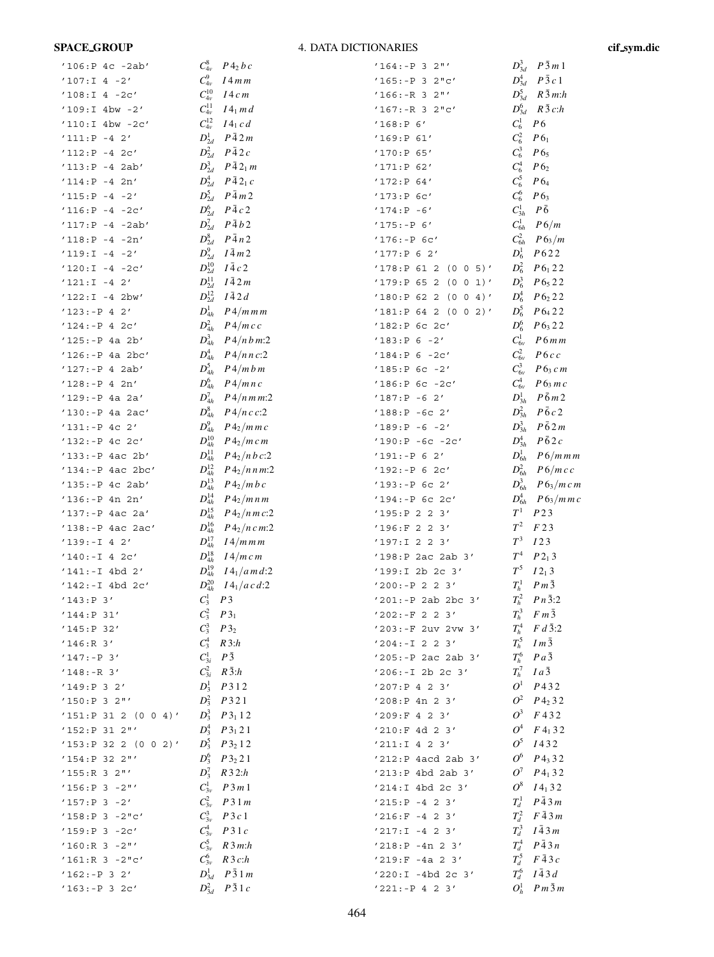# **SPACE\_GROUP**

# 4. DATA DICTIONARIES

cif\_sym.dic

| '106:P 4c -2ab'         | $C_{4\nu}^8$    | $P_4$ <sub>2</sub> $b$ $c$       | $'164:-P 3 2"$          |                 | $D_{3d}^3$ $P\bar{3}m1$ |
|-------------------------|-----------------|----------------------------------|-------------------------|-----------------|-------------------------|
| $'107:I$ 4 -2'          | $C_{4v}^9$      | $I4\,mm$                         | $'165:-P32"c'$          | $D_{3d}^4$      | $P\bar{3}c1$            |
| $'108:I$ 4 -2c'         | $C^{10}_{4\nu}$ | I4cm                             | $'166:-R32"$            | $D_{3d}^5$      | $R\bar{3}$ m:h          |
| $'109:I 4bw -2'$        | $C^{11}_{4\nu}$ | $I4_1$ m d                       | $'167:-R32"c'$          | $D_{3d}^6$      | $R\bar{3}c:h$           |
| '110:I 4bw -2c'         | $C_{4\nu}^{12}$ | $I4_1 c d$                       | '168:P 6'               | $C_6^1$         | P6                      |
| $'111:P -4 2'$          | $D_{2d}^1$      | $P\bar{4}2m$                     | '169:P 61'              | $C_6^2$         | P6 <sub>1</sub>         |
| $'112: P - 4 2C'$       | $D_{2d}^2$      | $P\bar{4}2c$                     | '170:P 65'              | $C_6^3$         | $P6_5$                  |
| $'113:P -4 2ab'$        | $D_{2d}^3$      | $P\bar{4}2_1 m$                  | '171:P 62'              | $C_6^4$         | $P_{}6_2$               |
| $'114:P -4 2n'$         | $D_{2d}^4$      | $P\bar{4}2_1c$                   | '172:P 64'              | $C_6^5$         | P64                     |
| $'115:P -4 -2'$         | $D_{2d}^5$      | $P\bar{4}m2$                     | $'173:P$ 6c'            | $C_6^6$         | $P_{}6_3$               |
| $'116:P - 4 - 2c'$      | $D_{2d}^6$      | $P\bar{4}c2$                     | $'174:P -6'$            | $C_{3h}^1$      | $P\bar{6}$              |
| $'117: P - 4 - 2ab'$    | $D_{2d}^7$      | $P\bar{4}b2$                     | $'175:-P 6'$            | $C_{6h}^1$      | P6/m                    |
| $'118:P -4 -2n'$        | $D_{2d}^8$      | $P\bar{4}n2$                     | $'176:-P$ 6c'           | $C_{6h}^2$      | $P6_3/m$                |
| $'119:I -4 -2'$         | $D_{2d}^9$      | $I\bar{4}m2$                     | '177:P 6 2'             | $D_6^1$         | P622                    |
| $'120:I -4 -2c'$        | $D_{2d}^{10}$   | $I\bar{4}c2$                     | '178:P 61 2<br>(0 0 5)' | $D_6^2$         | $P6_1 22$               |
| $'121:I -4 2'$          | $D_{2d}^{11}$   | $I\bar{4}2m$                     | '179:P 65 2<br>(0 0 1)' | $D_6^3$         | $P_{}6_522$             |
| $'122:I -4 2bw'$        | $D_{2d}^{12}$   | $I\bar{4}2d$                     | '180:P 62 2 (0 0 4)'    | $D_6^4$         | $P_{}6_2 22$            |
| $'123:-P 4 2'$          | $D_{4h}^1$      | $P\frac{4}{mmm}$                 | '181:P 64 2 (0 0 2)'    | $D_6^5$         | $P6_{4}22$              |
| $'124:-P 4 2C'$         | $D_{4h}^2$      | $P\frac{4}{mc}$                  | '182:P 6c 2c'           | $D_6^6$         | $P_{}6_3 22$            |
| $'125:-P$ 4a $2b'$      | $D_{4h}^3$      | $P\frac{4}{nbm:2}$               | $'183:P 6 -2'$          | $C_{6v}^1$      | P6mm                    |
| '126:-P 4a 2bc'         | $D_{4h}^4$      | $P\frac{4}{n}nc.2$               | $'184:P 6 - 2c'$        | $C_{6v}^2$      | P6cc                    |
| $'127: -P 4 2ab'$       | $D_{4h}^5$      | $P\frac{4}{m}$ bm                | $'185:P$ 6c -2'         | $C_{6v}^3$      | P6 <sub>3</sub> cm      |
| $'128:-P 4 2n'$         | $D_{4h}^6$      | $P\frac{4}{mn}$ c                | '186:P 6c -2c'          | $C_{6v}^4$      | $P6_3$ m c              |
| '129:-P 4a 2a'          | $D_{4h}^7$      | $P\frac{4}{nmm:2}$               | $'187:P -6 2'$          | $D_{3h}^1$      | $P\bar{6}m2$            |
| '130:-P 4a 2ac'         | $D_{4h}^8$      | $P\frac{4}{nc}$ c:2              | $'188:P -6C 2'$         | $D_{3h}^2$      | $P\bar{6}c2$            |
| $'131:-P 4C 2'$         | $D_{4h}^9$      | $P\frac{4}{2}/m\,m\,c$           | $'189:P -6 -2'$         | $D_{3h}^3$      | $P\bar{6}$ 2m           |
| $'132:-P 4C 2C'$        | $D^{10}_{4h}$   | $P\frac{4}{2}$ /m c m            | $'190:P -6C -2C'$       | $D_{3h}^4$      | $P\bar{6}2c$            |
| '133:-P 4ac 2b'         | $D^{11}_{4h}$   | $P\frac{4}{2}}$ / <i>nbc</i> :2  | $'191:-P 6 2'$          | $D_{6h}^1$      | P6/mmm                  |
| $'134:-P$ 4ac 2bc'      | $D_{4h}^{12}$   | $P\frac{4}{2}$ / <i>n n m</i> :2 | $'192:-P 6 2C'$         | $D_{6h}^2$      | P6/mcc                  |
| '135:-P 4c 2ab'         | $D_{4h}^{13}$   | $P\frac{4}{2}}$ /m b c           | $'193:-P$ 6c 2'         | $D_{6h}^3$      | $P6_3/mcm$              |
| $'136:-P 4n 2n'$        | $D_{4h}^{14}$   | $P\left(1\right)/m\,n\,m$        | $'194:-P$ 6c 2c'        | $D_{6h}^4$      | $P6_3/mmc$              |
| '137:-P 4ac 2a'         | $D_{4h}^{15}$   | $P_{2}/nmc:2$                    | '195:P 2 2 3'           | $T^1$           | P <sub>2</sub>          |
| '138:-P 4ac 2ac'        | $D^{16}_{4h}$   | $P\,4_2/n\,cm:2$                 | $'196:$ F 2 2 3'        | $\, T^2 \,$     | F23                     |
| $'139:-I 4 2'$          | $D^{17}_{4h}$   | I4/mmm                           | '197:I 2 2 3'           | $T^3$           | I23                     |
| $'140:-I$ 4 2c'         | $D_{4h}^{18}$   | 14/m cm                          | '198:P 2ac 2ab 3'       | $\mathcal{T}^4$ | $P2_13$                 |
| $'141:-I 4bd 2'$        | $D^{19}_{4h}$   | $I4_1/a$ m d:2                   | '199:I 2b 2c 3'         | $T^5$           | $I2_13$                 |
| '142:-I 4bd 2c'         | $D^{20}_{4h}$   | $I\,4_1/a\,c\,d$ :2              | $'200:-P 2 2 3'$        | $T_h^1$         | $Pm\bar{3}$             |
| '143:P 3'               | $C_3^1$ P 3     |                                  | $'201:-P$ 2ab 2bc 3'    |                 | $T_h^2$ $Pn\bar{3}:2$   |
| '144:P 31'              | $C_3^2$ $P3_1$  |                                  | $'202:-F 2 2 3'$        | $T_h^3$         | $F m\bar{3}$            |
| '145:P 32'              | $C_3^3$         | $P_3$                            | $'203:-F$ 2uv 2vw 3'    | $T_h^4$         | $F d\bar{3}:2$          |
| $'146:R$ 3'             | $C_3^4$         | R3:h                             | $'204:-I 2 2 3'$        | $T_h^5$         | $Im\bar{3}$             |
| $'147:-P3'$             | $C_{3i}^1$      | $P\bar{3}$                       | '205:-P 2ac 2ab 3'      | $T_h^6$         | $Pa\bar{3}$             |
| $'148:-R$ 3'            | $C_{3i}^2$      | $R\bar{3}:h$                     | '206:-I 2b 2c 3'        | $T_h^7$         | $Ia\bar{3}$             |
| '149:P 3 2'             |                 | $D_3^1$ $P312$                   | '207:P 4 2 3'           | $O^1$           | P432                    |
| '150:P32"               | $D_3^2$         | P321                             | '208:P 4n 2 3'          |                 | $Q^2$ $P_4$ 32          |
| $'151:$ P 31 2 (0 0 4)' |                 | $D_3^3$ $P3_1$ 12                | $'209:$ F 4 2 3'        |                 | $O^3$ F432              |
| '152:P 31 2"'           | $D_3^4$         | $P_3$ 21                         | '210:F 4d 2 3'          | $O^4$           |                         |
| '153:P322(002)'         |                 | $D_3^5$ $P3_2$ 12                | $'211:I$ 4 2 3'         | $O^5$           | 1432                    |
| '154:P 32 2"'           |                 | $D_3^6$ $P3_2 21$                | '212:P 4acd 2ab 3'      |                 | $O^6$ $P_3$ 32          |
| $'155:R$ 3 2"'          |                 | $D_3^7$ R 3 2:h                  | '213:P 4bd 2ab 3'       |                 | $Q^7$ $P_4$ 32          |
| $'156:P 3 - 2"$         |                 | $C_{3v}^1$ $P3m1$                | '214:I 4bd 2c 3'        |                 | $O^8$ $I4_132$          |
| $'157:P 3 -2'$          | $C_{3v}^2$      | P31m                             | $'215:P -4 2 3'$        |                 | $T_d^1$ $P\bar{4}3m$    |
| $'158:P 3 - 2"C'$       | $C_{3v}^3$      | P3c1                             | $'216:$ F -4 2 3'       |                 | $T_d^2$ $F \bar{4} 3 m$ |
| $'159:P 3 - 2c'$        |                 | $C_{3v}^4$ P31c                  | $'217:I -4 2 3'$        |                 | $T_d^3$ $I\bar{4}3m$    |
| $'160:R$ 3 -2"'         |                 | $C_{3v}^5$ R 3 m:h               | $'218:P - 4n 2 3'$      |                 | $T_d^4$ $P\bar{4}3n$    |
| $'161:R$ 3 -2"c'        | $C_{3v}^6$      | R3c:h                            | $'219:$ F -4a 2 3'      |                 | $T_d^5$ $F\bar{4}3c$    |
| $'162:-P 3 2'$          |                 | $D_{3d}^1$ $P\bar{3}$ 1 m        | '220:I -4bd 2c 3'       |                 | $T_d^6$ $I\bar{4}$ 3 d  |
|                         |                 | $D_{3d}^2$ $P\bar{3}1c$          |                         |                 | $O_h^1$ $Pm\bar{3}m$    |
| $'163:-P32c'$           |                 |                                  | $'221:-P 4 2 3'$        |                 |                         |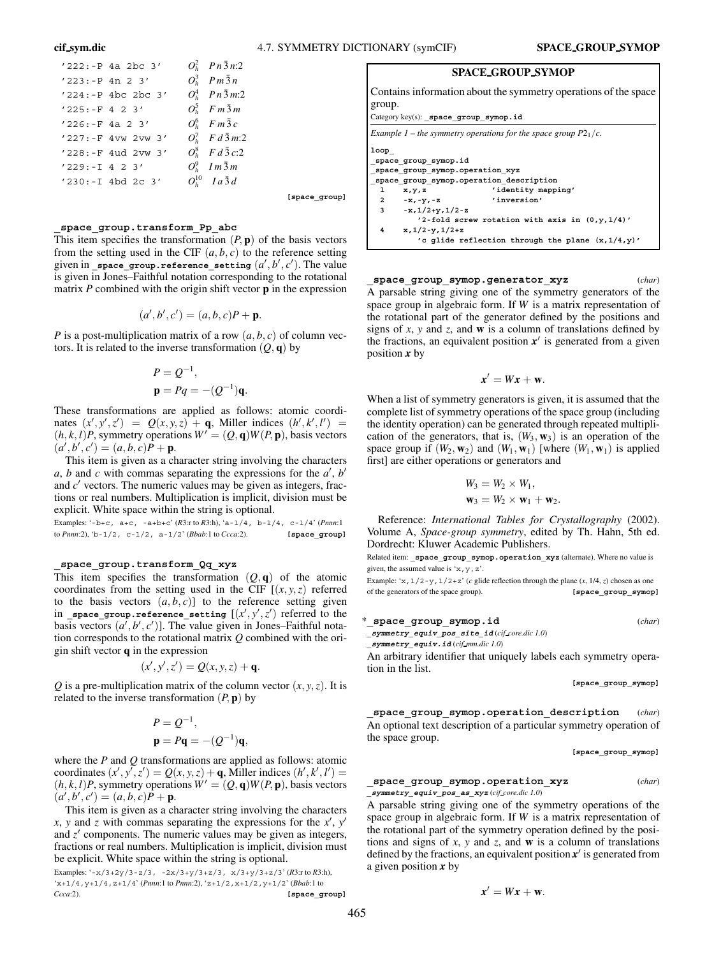**[space\_group]**

|                  | $'222:-P$ 4a 2bc 3'   | $O_h^2$ $P_n \bar{3} n:2$ |
|------------------|-----------------------|---------------------------|
|                  | $'223:-P 4n 2 3'$     | $O_h^3$ $Pm\bar{3}n$      |
|                  | $'224:-P$ 4bc 2bc 3'  | $O_h^4$ $Pn\bar{3}m:2$    |
| $'225:-F 4 2 3'$ |                       | $O_h^5$ Fm $\bar{3}$ m    |
|                  | $'226: -F$ 4a 2 3'    | $O_h^6$ Fm $\bar{3}c$     |
|                  | $'227: -F 4vw 2vw 3'$ | $O_h^7$ $F d\bar{3} m:2$  |
|                  | $'228: -F$ 4ud 2vw 3' | $O_h^8$ $F d\bar{3} c:2$  |
| $'229:-I$ 4 2 3' |                       | $O_h^9$ Im $\bar{3}$ m    |
|                  | $'230:-I$ 4bd 2c 3'   | $O_{h}^{10}$ $Ia\bar{3}d$ |

**\_space\_group.transform\_Pp\_abc**

This item specifies the transformation  $(P, \mathbf{p})$  of the basis vectors from the setting used in the CIF  $(a, b, c)$  to the reference setting given in \_space\_group.reference\_setting  $(a',b',c').$  The value is given in Jones–Faithful notation corresponding to the rotational matrix *P* combined with the origin shift vector **p** in the expression

$$
(a',b',c')=(a,b,c)P+\mathbf{p}.
$$

*P* is a post-multiplication matrix of a row  $(a, b, c)$  of column vectors. It is related to the inverse transformation  $(Q, \mathbf{q})$  by

$$
P = Q^{-1},
$$
  

$$
\mathbf{p} = Pq = -(Q^{-1})\mathbf{q}.
$$

These transformations are applied as follows: atomic coordinates  $(x', y', z') = Q(x, y, z) + q$ , Miller indices  $(h', k', l') =$  $(h, k, l)P$ , symmetry operations  $W' = (Q, \mathbf{q})W(P, \mathbf{p})$ , basis vectors  $(a', b', c') = (a, b, c)P + p.$ 

This item is given as a character string involving the characters *a*, *b* and *c* with commas separating the expressions for the *a* , *b* and  $c'$  vectors. The numeric values may be given as integers, fractions or real numbers. Multiplication is implicit, division must be explicit. White space within the string is optional.

Examples: '-b+c, a+c, -a+b+c' (*R*3:r to *R*3:h), 'a-1/4, b-1/4, c-1/4' (*Pnnn*:1 to *Pnnn*:2), 'b-1/2, c-1/2, a-1/2' (*Bbab*:1 to *Ccca*:2). **[space\_group]**

#### **\_space\_group.transform\_Qq\_xyz**

This item specifies the transformation  $(Q, \mathbf{q})$  of the atomic coordinates from the setting used in the CIF  $[(x, y, z)]$  referred to the basis vectors  $(a, b, c)$ ] to the reference setting given  $\operatorname{\sf in\_space\_group}.\mathsf{reference\_setting}\ \left[ (x',y',z' \right) \text{ referred to the }$ basis vectors  $(a', b', c')$ ]. The value given in Jones–Faithful notation corresponds to the rotational matrix *Q* combined with the origin shift vector **q** in the expression

$$
(x',y',z') = Q(x,y,z) + \mathbf{q}.
$$

*Q* is a pre-multiplication matrix of the column vector  $(x, y, z)$ . It is related to the inverse transformation  $(P, \mathbf{p})$  by

$$
P = Q^{-1},
$$
  

$$
\mathbf{p} = P\mathbf{q} = -(Q^{-1})\mathbf{q},
$$

where the *P* and *Q* transformations are applied as follows: atomic coordinates  $(x', y', z') = Q(x, y, z) + q$ , Miller indices  $(h', k', l') =$  $(h, k, l)P$ , symmetry operations  $W' = (Q, \mathbf{q})W(P, \mathbf{p})$ , basis vectors  $(a', b', c') = (a, b, c)P + p.$ 

This item is given as a character string involving the characters *x*, *y* and *z* with commas separating the expressions for the *x* , *y* and  $z'$  components. The numeric values may be given as integers, fractions or real numbers. Multiplication is implicit, division must be explicit. White space within the string is optional.

Examples: '-x/3+2y/3-z/3, -2x/3+y/3+z/3, x/3+y/3+z/3' (*R*3:r to *R*3:h), 'x+1/4,y+1/4,z+1/4' (*Pnnn*:1 to *Pnnn*:2), 'z+1/2,x+1/2,y+1/2' (*Bbab*:1 to *Ccca*:2). **[space\_group]**

|  | <b>SPACE GROUP SYMOP</b> |
|--|--------------------------|
|  |                          |

Contains information about the symmetry operations of the space group.

Category key(s): **\_space\_group\_symop.id**

|              |                                                         | Example 1 – the symmetry operations for the space group $P2_1/c$ . |
|--------------|---------------------------------------------------------|--------------------------------------------------------------------|
| loop         | space group symop.id<br>space group symop.operation xyz |                                                                    |
|              | space group symop.operation description                 |                                                                    |
| $\mathbf{1}$ | x, y, z                                                 | 'identity mapping'                                                 |
|              | 2 $-x, -y, -z$                                          | 'inversion'                                                        |
| $3^{\circ}$  | $-x, 1/2+y, 1/2-z$                                      |                                                                    |
|              |                                                         | $'2$ -fold screw rotation with axis in $(0,y,1/4)'$                |
| 4            | $x, 1/2 - y, 1/2 + z$                                   |                                                                    |
|              |                                                         | 'c glide reflection through the plane $(x, 1/4, y)'$               |

**\_space\_group\_symop.generator\_xyz** (*char*) A parsable string giving one of the symmetry generators of the space group in algebraic form. If *W* is a matrix representation of the rotational part of the generator defined by the positions and signs of *x*, *y* and *z*, and **w** is a column of translations defined by the fractions, an equivalent position  $x'$  is generated from a given position *x* by

$$
x'=Wx+\mathbf{w}.
$$

When a list of symmetry generators is given, it is assumed that the complete list of symmetry operations of the space group (including the identity operation) can be generated through repeated multiplication of the generators, that is,  $(W_3, W_3)$  is an operation of the space group if  $(W_2, \mathbf{w}_2)$  and  $(W_1, \mathbf{w}_1)$  [where  $(W_1, \mathbf{w}_1)$  is applied first] are either operations or generators and

$$
W_3 = W_2 \times W_1,
$$
  

$$
\mathbf{w}_3 = W_2 \times \mathbf{w}_1 + \mathbf{w}_2.
$$

Reference: *International Tables for Crystallography* (2002). Volume A, *Space-group symmetry*, edited by Th. Hahn, 5th ed. Dordrecht: Kluwer Academic Publishers.

Related item: **\_space\_group\_symop.operation\_xyz** (alternate). Where no value is given, the assumed value is  $x, y, z'$ .

Example: 'x,  $1/2-y$ ,  $1/2+z$ ' (*c* glide reflection through the plane  $(x, 1/4, z)$  chosen as one of the generators of the space group). **[space\_group\_symop]**

| *_space_group_symop.id                                            | (char) |
|-------------------------------------------------------------------|--------|
| symmetry equiv pos site id $(cif\;core\;di)$                      |        |
| symmetry equiv.id $(cif$ mm.dic 1.0)                              |        |
| An orbitron identifier that uniqual ulabels as ab generator anone |        |

An arbitrary identifier that uniquely labels each symmetry operation in the list.

**[space\_group\_symop]**

**\_space\_group\_symop.operation\_description** (*char*) An optional text description of a particular symmetry operation of the space group.

**[space\_group\_symop]**

**\_space\_group\_symop.operation\_xyz** (*char*) **\_symmetry\_equiv\_pos\_as\_xyz** (*cif core.dic 1.0*)

A parsable string giving one of the symmetry operations of the space group in algebraic form. If *W* is a matrix representation of the rotational part of the symmetry operation defined by the positions and signs of *x*, *y* and *z*, and **w** is a column of translations defined by the fractions, an equivalent position  $x'$  is generated from a given position *x* by

$$
x'=Wx+\mathbf{w}.
$$